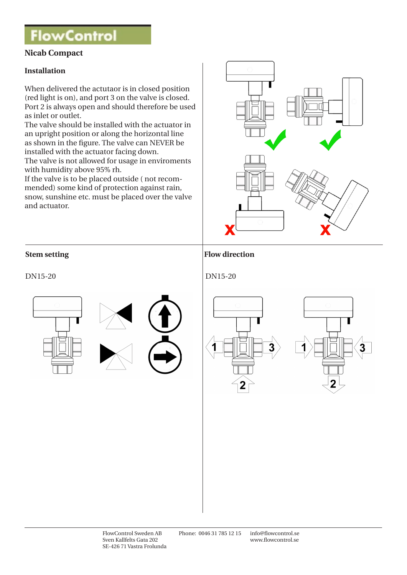## **FlowControl**

## **Nicab Compact**

### **Installation**

When delivered the actutaor is in closed position (red light is on), and port 3 on the valve is closed. Port 2 is always open and should therefore be used as inlet or outlet.

The valve should be installed with the actuator in an upright position or along the horizontal line as shown in the figure. The valve can NEVER be installed with the actuator facing down. The valve is not allowed for usage in enviroments

with humidity above 95% rh.

If the valve is to be placed outside ( not recommended) some kind of protection against rain, snow, sunshine etc. must be placed over the valve and actuator.



### **Stem setting Flow direction**

### DN15-20 DN15-20